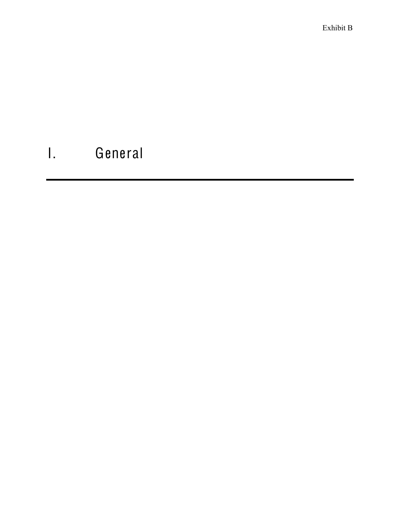Exhibit B

# I. General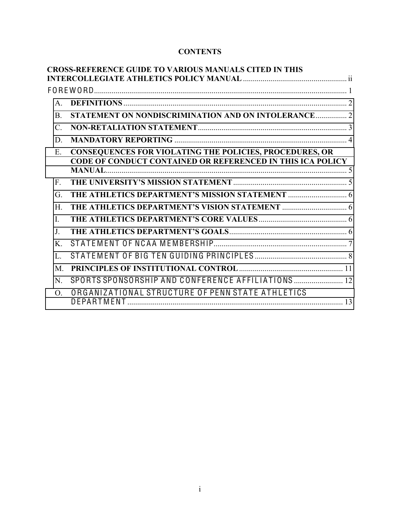# **CONTENTS**

|                | <b>CROSS-REFERENCE GUIDE TO VARIOUS MANUALS CITED IN THIS</b>                                                                |  |
|----------------|------------------------------------------------------------------------------------------------------------------------------|--|
|                |                                                                                                                              |  |
|                |                                                                                                                              |  |
| $\mathsf{A}$   |                                                                                                                              |  |
| <b>B</b> .     | STATEMENT ON NONDISCRIMINATION AND ON INTOLERANCE 2                                                                          |  |
| $\mathcal{C}$  |                                                                                                                              |  |
| D              |                                                                                                                              |  |
| E              | CONSEQUENCES FOR VIOLATING THE POLICIES, PROCEDURES, OR<br><b>CODE OF CONDUCT CONTAINED OR REFERENCED IN THIS ICA POLICY</b> |  |
|                |                                                                                                                              |  |
| $F_{\cdot}$    |                                                                                                                              |  |
| G.             |                                                                                                                              |  |
| $H_{\cdot}$    |                                                                                                                              |  |
| $\mathbf{I}$ . |                                                                                                                              |  |
| $J_{\cdot}$    |                                                                                                                              |  |
| $\mathbf{K}$   |                                                                                                                              |  |
| L.             |                                                                                                                              |  |
| $M_{\cdot}$    |                                                                                                                              |  |
| N.             | SPORTS SPONSORSHIP AND CONFERENCE AFFILIATIONS  12                                                                           |  |
| $\Omega$       | ORGANIZATIONAL STRUCTURE OF PENN STATE ATHLETICS                                                                             |  |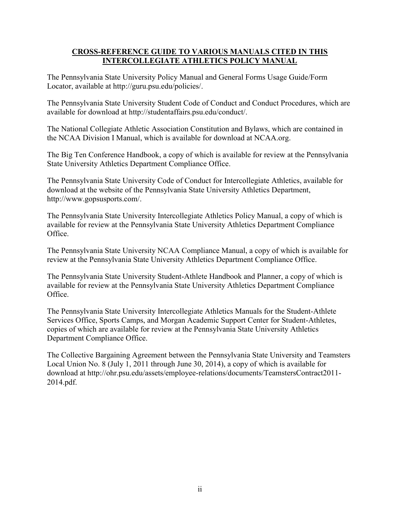## **CROSS)REFERENCE'GUIDE'TO'VARIOUS'MANUALS CITED'IN'THIS' INTERCOLLEGIATE ATHLETICS POLICY MANUAL**

The Pennsylvania State University Policy Manual and General Forms Usage Guide/Form Locator, available at http://guru.psu.edu/policies/.

The Pennsylvania State University Student Code of Conduct and Conduct Procedures, which are available for download at http://studentaffairs.psu.edu/conduct/.

The National Collegiate Athletic Association Constitution and Bylaws, which are contained in the NCAA Division I Manual, which is available for download at NCAA.org.

The Big Ten Conference Handbook, a copy of which is available for review at the Pennsylvania State University Athletics Department Compliance Office.

The Pennsylvania State University Code of Conduct for Intercollegiate Athletics, available for download at the website of the Pennsylvania State University Athletics Department, http://www.gopsusports.com/.

The Pennsylvania State University Intercollegiate Athletics Policy Manual, a copy of which is available for review at the Pennsylvania State University Athletics Department Compliance Office.

The Pennsylvania State University NCAA Compliance Manual, a copy of which is available for review at the Pennsylvania State University Athletics Department Compliance Office.

The Pennsylvania State University Student-Athlete Handbook and Planner, a copy of which is available for review at the Pennsylvania State University Athletics Department Compliance Office.

The Pennsylvania State University Intercollegiate Athletics Manuals for the Student-Athlete Services Office, Sports Camps, and Morgan Academic Support Center for Student-Athletes, copies of which are available for review at the Pennsylvania State University Athletics Department Compliance Office.

The Collective Bargaining Agreement between the Pennsylvania State University and Teamsters Local Union No. 8 (July 1, 2011 through June 30, 2014), a copy of which is available for download at http://ohr.psu.edu/assets/employee-relations/documents/TeamstersContract2011- 2014.pdf.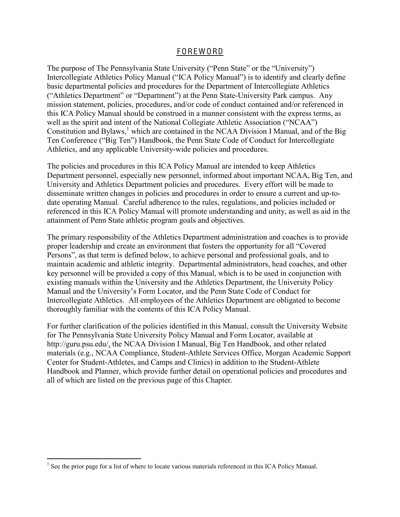### F ORE W ORD

The purpose of The Pennsylvania State University ("Penn State" or the "University") Intercollegiate Athletics Policy Manual ("ICA Policy Manual") is to identify and clearly define basic departmental policies and procedures for the Department of Intercollegiate Athletics ("Athletics Department" or "Department") at the Penn State-University Park campus. Any mission statement, policies, procedures, and/or code of conduct contained and/or referenced in this ICA Policy Manual should be construed in a manner consistent with the express terms, as well as the spirit and intent of the National Collegiate Athletic Association ("NCAA") Constitution and Bylaws, $<sup>1</sup>$  which are contained in the NCAA Division I Manual, and of the Big</sup> Ten Conference ("Big Ten") Handbook, the Penn State Code of Conduct for Intercollegiate Athletics, and any applicable University-wide policies and procedures.

The policies and procedures in this ICA Policy Manual are intended to keep Athletics Department personnel, especially new personnel, informed about important NCAA, Big Ten, and University and Athletics Department policies and procedures. Every effort will be made to disseminate written changes in policies and procedures in order to ensure a current and up-todate operating Manual. Careful adherence to the rules, regulations, and policies included or referenced in this ICA Policy Manual will promote understanding and unity, as well as aid in the attainment of Penn State athletic program goals and objectives.

The primary responsibility of the Athletics Department administration and coaches is to provide proper leadership and create an environment that fosters the opportunity for all "Covered Persons", as that term is defined below, to achieve personal and professional goals, and to maintain academic and athletic integrity. Departmental administrators, head coaches, and other key personnel will be provided a copy of this Manual, which is to be used in conjunction with existing manuals within the University and the Athletics Department, the University Policy Manual and the University's Form Locator, and the Penn State Code of Conduct for Intercollegiate Athletics. All employees of the Athletics Department are obligated to become thoroughly familiar with the contents of this ICA Policy Manual.

For further clarification of the policies identified in this Manual, consult the University Website for The Pennsylvania State University Policy Manual and Form Locator, available at http://guru.psu.edu/, the NCAA Division I Manual, Big Ten Handbook, and other related materials (e.g., NCAA Compliance, Student-Athlete Services Office, Morgan Academic Support Center for Student-Athletes, and Camps and Clinics) in addition to the Student-Athlete Handbook and Planner, which provide further detail on operational policies and procedures and all of which are listed on the previous page of this Chapter.

<sup>&</sup>lt;sup>1</sup> See the prior page for a list of where to locate various materials referenced in this ICA Policy Manual.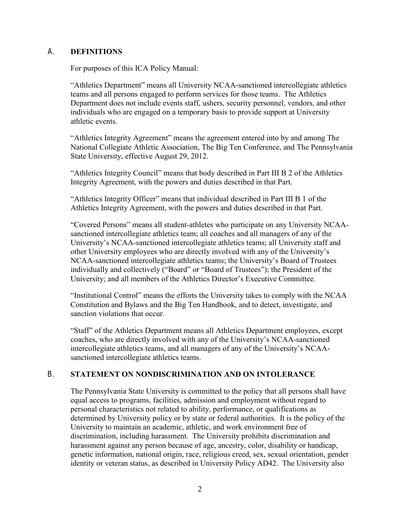## <span id="page-4-0"></span>A. **DEFINITIONS**

For purposes of this ICA Policy Manual:

"Athletics Department" means all University NCAA-sanctioned intercollegiate athletics teams and all persons engaged to perform services for those teams. The Athletics Department does not include events staff, ushers, security personnel, vendors, and other individuals who are engaged on a temporary basis to provide support at University athletic events.

"Athletics Integrity Agreement" means the agreement entered into by and among The National Collegiate Athletic Association, The Big Ten Conference, and The Pennsylvania State University, effective August 29, 2012.

"Athletics Integrity Council" means that body described in Part III B 2 of the Athletics Integrity Agreement, with the powers and duties described in that Part.

"Athletics Integrity Officer" means that individual described in Part III B 1 of the Athletics Integrity Agreement, with the powers and duties described in that Part.

"Covered Persons" means all student-athletes who participate on any University NCAAsanctioned intercollegiate athletics team; all coaches and all managers of any of the University's NCAA-sanctioned intercollegiate athletics teams; all University staff and other University employees who are directly involved with any of the University's NCAA-sanctioned intercollegiate athletics teams; the University's Board of Trustees individually and collectively ("Board" or "Board of Trustees"); the President of the University; and all members of the Athletics Director's Executive Committee.

"Institutional Control" means the efforts the University takes to comply with the NCAA Constitution and Bylaws and the Big Ten Handbook, and to detect, investigate, and sanction violations that occur.

"Staff" of the Athletics Department means all Athletics Department employees, except coaches, who are directly involved with any of the University's NCAA-sanctioned intercollegiate athletics teams, and all managers of any of the University's NCAAsanctioned intercollegiate athletics teams.

## <span id="page-4-1"></span>B. **STATEMENT'ON NONDISCRIMINATION'AND ON'INTOLERANCE**

The Pennsylvania State University is committed to the policy that all persons shall have equal access to programs, facilities, admission and employment without regard to personal characteristics not related to ability, performance, or qualifications as determined by University policy or by state or federal authorities. It is the policy of the University to maintain an academic, athletic, and work environment free of discrimination, including harassment. The University prohibits discrimination and harassment against any person because of age, ancestry, color, disability or handicap, genetic information, national origin, race, religious creed, sex, sexual orientation, gender identity or veteran status, as described in University Policy AD42. The University also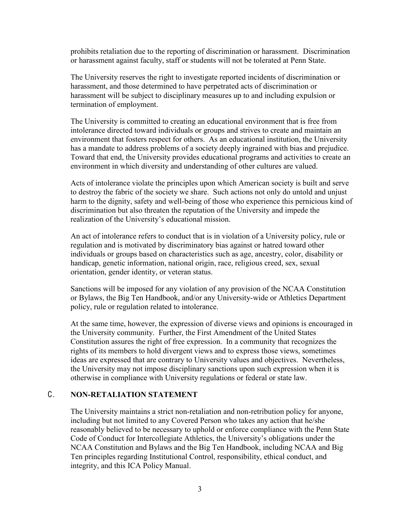prohibits retaliation due to the reporting of discrimination or harassment. Discrimination or harassment against faculty, staff or students will not be tolerated at Penn State.

The University reserves the right to investigate reported incidents of discrimination or harassment, and those determined to have perpetrated acts of discrimination or harassment will be subject to disciplinary measures up to and including expulsion or termination of employment.

The University is committed to creating an educational environment that is free from intolerance directed toward individuals or groups and strives to create and maintain an environment that fosters respect for others. As an educational institution, the University has a mandate to address problems of a society deeply ingrained with bias and prejudice. Toward that end, the University provides educational programs and activities to create an environment in which diversity and understanding of other cultures are valued.

Acts of intolerance violate the principles upon which American society is built and serve to destroy the fabric of the society we share. Such actions not only do untold and unjust harm to the dignity, safety and well-being of those who experience this pernicious kind of discrimination but also threaten the reputation of the University and impede the realization of the University's educational mission.

An act of intolerance refers to conduct that is in violation of a University policy, rule or regulation and is motivated by discriminatory bias against or hatred toward other individuals or groups based on characteristics such as age, ancestry, color, disability or handicap, genetic information, national origin, race, religious creed, sex, sexual orientation, gender identity, or veteran status.

Sanctions will be imposed for any violation of any provision of the NCAA Constitution or Bylaws, the Big Ten Handbook, and/or any University-wide or Athletics Department policy, rule or regulation related to intolerance.

At the same time, however, the expression of diverse views and opinions is encouraged in the University community. Further, the First Amendment of the United States Constitution assures the right of free expression. In a community that recognizes the rights of its members to hold divergent views and to express those views, sometimes ideas are expressed that are contrary to University values and objectives. Nevertheless, the University may not impose disciplinary sanctions upon such expression when it is otherwise in compliance with University regulations or federal or state law.

## <span id="page-5-0"></span>C. **NON)RETALIATION STATEMENT**

The University maintains a strict non-retaliation and non-retribution policy for anyone, including but not limited to any Covered Person who takes any action that he/she reasonably believed to be necessary to uphold or enforce compliance with the Penn State Code of Conduct for Intercollegiate Athletics, the University's obligations under the NCAA Constitution and Bylaws and the Big Ten Handbook, including NCAA and Big Ten principles regarding Institutional Control, responsibility, ethical conduct, and integrity, and this ICA Policy Manual.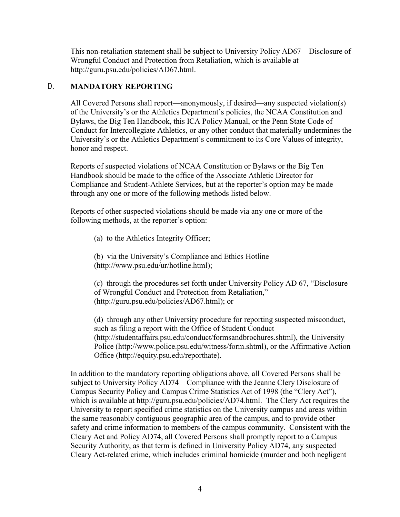This non-retaliation statement shall be subject to University Policy AD67 – Disclosure of Wrongful Conduct and Protection from Retaliation, which is available at http://guru.psu.edu/policies/AD67.html.

## <span id="page-6-0"></span>D. **MANDATORY'REPORTING**

All Covered Persons shall report—anonymously, if desired—any suspected violation(s) of the University's or the Athletics Department's policies, the NCAA Constitution and Bylaws, the Big Ten Handbook, this ICA Policy Manual, or the Penn State Code of Conduct for Intercollegiate Athletics, or any other conduct that materially undermines the University's or the Athletics Department's commitment to its Core Values of integrity, honor and respect.

Reports of suspected violations of NCAA Constitution or Bylaws or the Big Ten Handbook should be made to the office of the Associate Athletic Director for Compliance and Student-Athlete Services, but at the reporter's option may be made through any one or more of the following methods listed below.

Reports of other suspected violations should be made via any one or more of the following methods, at the reporter's option:

(a) to the Athletics Integrity Officer;

(b) via the University's Compliance and Ethics Hotline (http://www.psu.edu/ur/hotline.html);

(c) through the procedures set forth under University Policy AD  $67$ , "Disclosure of Wrongful Conduct and Protection from Retaliation." (http://guru.psu.edu/policies/AD67.html); or

(d) through any other University procedure for reporting suspected misconduct, such as filing a report with the Office of Student Conduct (http://studentaffairs.psu.edu/conduct/formsandbrochures.shtml), the University Police (http://www.police.psu.edu/witness/form.shtml), or the Affirmative Action Office (http://equity.psu.edu/reporthate).

In addition to the mandatory reporting obligations above, all Covered Persons shall be subject to University Policy AD74 – Compliance with the Jeanne Clery Disclosure of Campus Security Policy and Campus Crime Statistics Act of 1998 (the "Clery Act"), which is available at http://guru.psu.edu/policies/AD74.html. The Clery Act requires the University to report specified crime statistics on the University campus and areas within the same reasonably contiguous geographic area of the campus, and to provide other safety and crime information to members of the campus community. Consistent with the Cleary Act and Policy AD74, all Covered Persons shall promptly report to a Campus Security Authority, as that term is defined in University Policy AD74, any suspected Cleary Act-related crime, which includes criminal homicide (murder and both negligent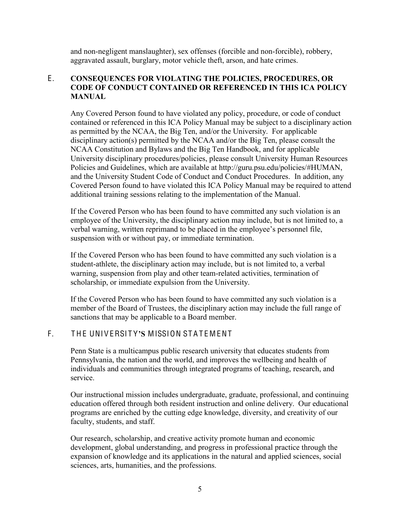and non-negligent manslaughter), sex offenses (forcible and non-forcible), robbery, aggravated assault, burglary, motor vehicle theft, arson, and hate crimes.

## <span id="page-7-0"></span>E. **CONSEQUENCES FOR VIOLATING THE POLICIES, PROCEDURES, OR CODE'OF'CONDUCT'CONTAINED OR'REFERENCED'IN'THIS ICA POLICY MANUAL**

Any Covered Person found to have violated any policy, procedure, or code of conduct contained or referenced in this ICA Policy Manual may be subject to a disciplinary action as permitted by the NCAA, the Big Ten, and/or the University. For applicable disciplinary action(s) permitted by the NCAA and/or the Big Ten, please consult the NCAA Constitution and Bylaws and the Big Ten Handbook, and for applicable University disciplinary procedures/policies, please consult University Human Resources Policies and Guidelines, which are available at http://guru.psu.edu/policies/#HUMAN, and the University Student Code of Conduct and Conduct Procedures. In addition, any Covered Person found to have violated this ICA Policy Manual may be required to attend additional training sessions relating to the implementation of the Manual.

If the Covered Person who has been found to have committed any such violation is an employee of the University, the disciplinary action may include, but is not limited to, a verbal warning, written reprimand to be placed in the employee's personnel file, suspension with or without pay, or immediate termination.

If the Covered Person who has been found to have committed any such violation is a student-athlete, the disciplinary action may include, but is not limited to, a verbal warning, suspension from play and other team-related activities, termination of scholarship, or immediate expulsion from the University.

If the Covered Person who has been found to have committed any such violation is a member of the Board of Trustees, the disciplinary action may include the full range of sanctions that may be applicable to a Board member.

## <span id="page-7-1"></span>F. THE UNIVERSITY'S MISSION STATEMENT

Penn State is a multicampus public research university that educates students from Pennsylvania, the nation and the world, and improves the wellbeing and health of individuals and communities through integrated programs of teaching, research, and service.

Our instructional mission includes undergraduate, graduate, professional, and continuing education offered through both resident instruction and online delivery. Our educational programs are enriched by the cutting edge knowledge, diversity, and creativity of our faculty, students, and staff.

Our research, scholarship, and creative activity promote human and economic development, global understanding, and progress in professional practice through the expansion of knowledge and its applications in the natural and applied sciences, social sciences, arts, humanities, and the professions.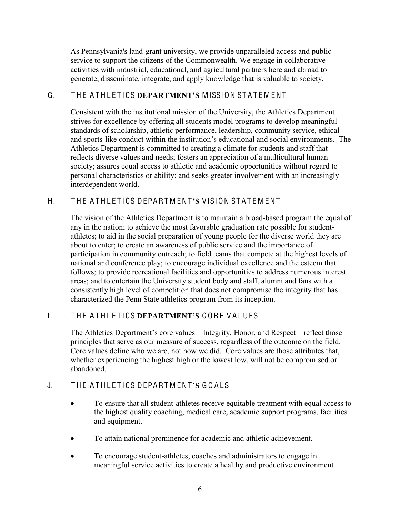As Pennsylvania's land-grant university, we provide unparalleled access and public service to support the citizens of the Commonwealth. We engage in collaborative activities with industrial, educational, and agricultural partners here and abroad to generate, disseminate, integrate, and apply knowledge that is valuable to society.

# <span id="page-8-0"></span>G. THE ATHI ETICS **DEPARTMENT'S MISSION STATEMENT**

Consistent with the institutional mission of the University, the Athletics Department strives for excellence by offering all students model programs to develop meaningful standards of scholarship, athletic performance, leadership, community service, ethical and sports-like conduct within the institution's educational and social environments. The Athletics Department is committed to creating a climate for students and staff that reflects diverse values and needs; fosters an appreciation of a multicultural human society; assures equal access to athletic and academic opportunities without regard to personal characteristics or ability; and seeks greater involvement with an increasingly interdependent world.

# <span id="page-8-1"></span>H. THE ATHLETICS DEPARTMENT'S VISION STATEMENT

The vision of the Athletics Department is to maintain a broad-based program the equal of any in the nation; to achieve the most favorable graduation rate possible for studentathletes; to aid in the social preparation of young people for the diverse world they are about to enter; to create an awareness of public service and the importance of participation in community outreach; to field teams that compete at the highest levels of national and conference play; to encourage individual excellence and the esteem that follows; to provide recreational facilities and opportunities to address numerous interest areas; and to entertain the University student body and staff, alumni and fans with a consistently high level of competition that does not compromise the integrity that has characterized the Penn State athletics program from its inception.

# <span id="page-8-2"></span>I. THE ATHLETICS **DEPARTMENT'S CORE VALUES**

The Athletics Department's core values – Integrity, Honor, and Respect – reflect those principles that serve as our measure of success, regardless of the outcome on the field. Core values define who we are, not how we did. Core values are those attributes that, whether experiencing the highest high or the lowest low, will not be compromised or abandoned.

# <span id="page-8-3"></span>J. THE ATHLETICS DEPARTMENT'S GOALS

- To ensure that all student-athletes receive equitable treatment with equal access to the highest quality coaching, medical care, academic support programs, facilities and equipment.
- To attain national prominence for academic and athletic achievement.
- To encourage student-athletes, coaches and administrators to engage in meaningful service activities to create a healthy and productive environment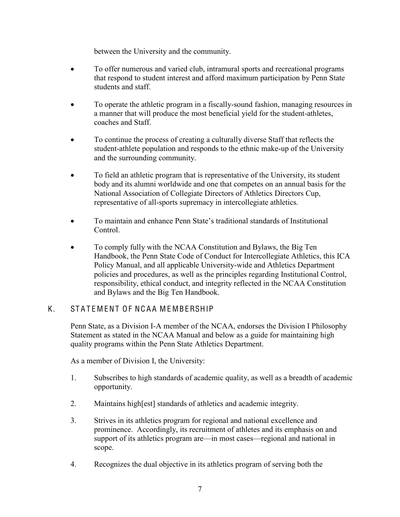between the University and the community.

- To offer numerous and varied club, intramural sports and recreational programs that respond to student interest and afford maximum participation by Penn State students and staff.
- To operate the athletic program in a fiscally-sound fashion, managing resources in a manner that will produce the most beneficial yield for the student-athletes, coaches and Staff.
- To continue the process of creating a culturally diverse Staff that reflects the student-athlete population and responds to the ethnic make-up of the University and the surrounding community.
- To field an athletic program that is representative of the University, its student body and its alumni worldwide and one that competes on an annual basis for the National Association of Collegiate Directors of Athletics Directors Cup, representative of all-sports supremacy in intercollegiate athletics.
- $\bullet$  To maintain and enhance Penn State's traditional standards of Institutional Control.
- To comply fully with the NCAA Constitution and Bylaws, the Big Ten Handbook, the Penn State Code of Conduct for Intercollegiate Athletics, this ICA Policy Manual, and all applicable University-wide and Athletics Department policies and procedures, as well as the principles regarding Institutional Control, responsibility, ethical conduct, and integrity reflected in the NCAA Constitution and Bylaws and the Big Ten Handbook.

## <span id="page-9-0"></span>K. STATEMENT OF NCAA MEMBERSHIP

Penn State, as a Division I-A member of the NCAA, endorses the Division I Philosophy Statement as stated in the NCAA Manual and below as a guide for maintaining high quality programs within the Penn State Athletics Department.

As a member of Division I, the University:

- 1. Subscribes to high standards of academic quality, as well as a breadth of academic opportunity.
- 2. Maintains high[est] standards of athletics and academic integrity.
- 3. Strives in its athletics program for regional and national excellence and prominence. Accordingly, its recruitment of athletes and its emphasis on and support of its athletics program are—in most cases—regional and national in scope.
- 4. Recognizes the dual objective in its athletics program of serving both the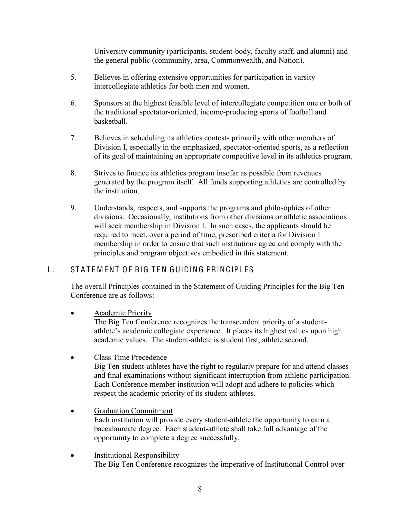University community (participants, student-body, faculty-staff, and alumni) and the general public (community, area, Commonwealth, and Nation).

- 5. Believes in offering extensive opportunities for participation in varsity intercollegiate athletics for both men and women.
- 6. Sponsors at the highest feasible level of intercollegiate competition one or both of the traditional spectator-oriented, income-producing sports of football and basketball.
- 7. Believes in scheduling its athletics contests primarily with other members of Division I, especially in the emphasized, spectator-oriented sports, as a reflection of its goal of maintaining an appropriate competitive level in its athletics program.
- 8. Strives to finance its athletics program insofar as possible from revenues generated by the program itself. All funds supporting athletics are controlled by the institution.
- 9. Understands, respects, and supports the programs and philosophies of other divisions. Occasionally, institutions from other divisions or athletic associations will seek membership in Division I. In such cases, the applicants should be required to meet, over a period of time, prescribed criteria for Division I membership in order to ensure that such institutions agree and comply with the principles and program objectives embodied in this statement.

# <span id="page-10-0"></span>L. STATEMENT OF BIG TEN GUIDING PRINCIPLES

The overall Principles contained in the Statement of Guiding Principles for the Big Ten Conference are as follows:

Academic Priority

The Big Ten Conference recognizes the transcendent priority of a studentathlete's academic collegiate experience. It places its highest values upon high academic values. The student-athlete is student first, athlete second.

• Class Time Precedence

Big Ten student-athletes have the right to regularly prepare for and attend classes and final examinations without significant interruption from athletic participation. Each Conference member institution will adopt and adhere to policies which respect the academic priority of its student-athletes.

- Graduation Commitment Each institution will provide every student-athlete the opportunity to earn a baccalaureate degree. Each student-athlete shall take full advantage of the opportunity to complete a degree successfully.
- Institutional Responsibility The Big Ten Conference recognizes the imperative of Institutional Control over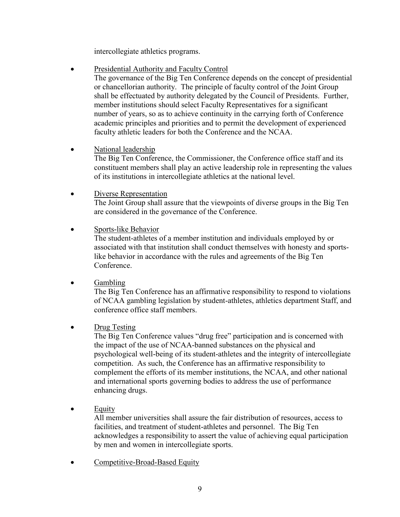intercollegiate athletics programs.

- Presidential Authority and Faculty Control
	- The governance of the Big Ten Conference depends on the concept of presidential or chancellorian authority. The principle of faculty control of the Joint Group shall be effectuated by authority delegated by the Council of Presidents. Further, member institutions should select Faculty Representatives for a significant number of years, so as to achieve continuity in the carrying forth of Conference academic principles and priorities and to permit the development of experienced faculty athletic leaders for both the Conference and the NCAA.
- National leadership

The Big Ten Conference, the Commissioner, the Conference office staff and its constituent members shall play an active leadership role in representing the values of its institutions in intercollegiate athletics at the national level.

- Diverse Representation The Joint Group shall assure that the viewpoints of diverse groups in the Big Ten are considered in the governance of the Conference.
- Sports-like Behavior

The student-athletes of a member institution and individuals employed by or associated with that institution shall conduct themselves with honesty and sportslike behavior in accordance with the rules and agreements of the Big Ten Conference.

 $\bullet$  Gambling

The Big Ten Conference has an affirmative responsibility to respond to violations of NCAA gambling legislation by student-athletes, athletics department Staff, and conference office staff members.

 $\bullet$  Drug Testing

The Big Ten Conference values "drug free" participation and is concerned with the impact of the use of NCAA-banned substances on the physical and psychological well-being of its student-athletes and the integrity of intercollegiate competition. As such, the Conference has an affirmative responsibility to complement the efforts of its member institutions, the NCAA, and other national and international sports governing bodies to address the use of performance enhancing drugs.

 $\bullet$  Equity

All member universities shall assure the fair distribution of resources, access to facilities, and treatment of student-athletes and personnel. The Big Ten acknowledges a responsibility to assert the value of achieving equal participation by men and women in intercollegiate sports.

• Competitive-Broad-Based Equity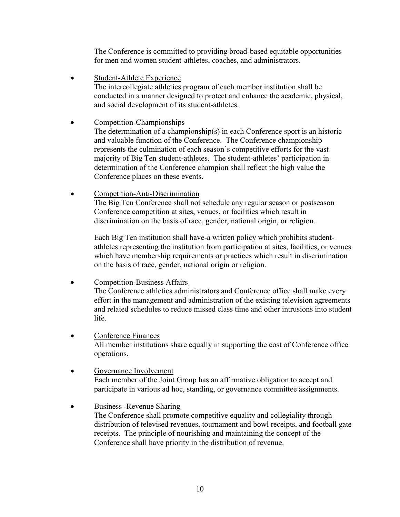The Conference is committed to providing broad-based equitable opportunities for men and women student-athletes, coaches, and administrators.

- Student-Athlete Experience The intercollegiate athletics program of each member institution shall be conducted in a manner designed to protect and enhance the academic, physical, and social development of its student-athletes.
- Competition-Championships

The determination of a championship(s) in each Conference sport is an historic and valuable function of the Conference. The Conference championship represents the culmination of each season's competitive efforts for the vast majority of Big Ten student-athletes. The student-athletes' participation in determination of the Conference champion shall reflect the high value the Conference places on these events.

• Competition-Anti-Discrimination

The Big Ten Conference shall not schedule any regular season or postseason Conference competition at sites, venues, or facilities which result in discrimination on the basis of race, gender, national origin, or religion.

Each Big Ten institution shall have-a written policy which prohibits studentathletes representing the institution from participation at sites, facilities, or venues which have membership requirements or practices which result in discrimination on the basis of race, gender, national origin or religion.

• Competition-Business Affairs

The Conference athletics administrators and Conference office shall make every effort in the management and administration of the existing television agreements and related schedules to reduce missed class time and other intrusions into student life.

• Conference Finances All member institutions share equally in supporting the cost of Conference office operations.

## • Governance Involvement

Each member of the Joint Group has an affirmative obligation to accept and participate in various ad hoc, standing, or governance committee assignments.

## • Business -Revenue Sharing

The Conference shall promote competitive equality and collegiality through distribution of televised revenues, tournament and bowl receipts, and football gate receipts. The principle of nourishing and maintaining the concept of the Conference shall have priority in the distribution of revenue.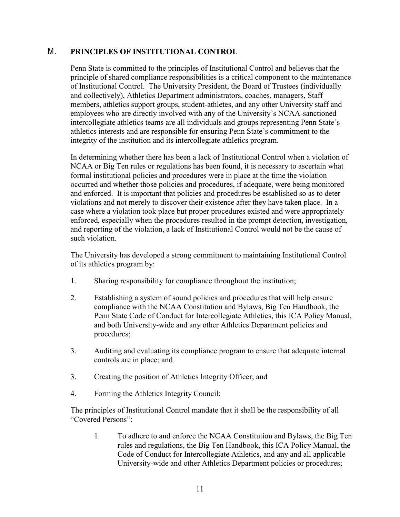## <span id="page-13-0"></span>M. **PRINCIPLES OF INSTITUTIONAL CONTROL**

Penn State is committed to the principles of Institutional Control and believes that the principle of shared compliance responsibilities is a critical component to the maintenance of Institutional Control. The University President, the Board of Trustees (individually and collectively), Athletics Department administrators, coaches, managers, Staff members, athletics support groups, student-athletes, and any other University staff and employees who are directly involved with any of the University's NCAA-sanctioned intercollegiate athletics teams are all individuals and groups representing Penn State's athletics interests and are responsible for ensuring Penn State's commitment to the integrity of the institution and its intercollegiate athletics program.

In determining whether there has been a lack of Institutional Control when a violation of NCAA or Big Ten rules or regulations has been found, it is necessary to ascertain what formal institutional policies and procedures were in place at the time the violation occurred and whether those policies and procedures, if adequate, were being monitored and enforced. It is important that policies and procedures be established so as to deter violations and not merely to discover their existence after they have taken place. In a case where a violation took place but proper procedures existed and were appropriately enforced, especially when the procedures resulted in the prompt detection, investigation, and reporting of the violation, a lack of Institutional Control would not be the cause of such violation.

The University has developed a strong commitment to maintaining Institutional Control of its athletics program by:

- 1. Sharing responsibility for compliance throughout the institution;
- 2. Establishing a system of sound policies and procedures that will help ensure compliance with the NCAA Constitution and Bylaws, Big Ten Handbook, the Penn State Code of Conduct for Intercollegiate Athletics, this ICA Policy Manual, and both University-wide and any other Athletics Department policies and procedures;
- 3. Auditing and evaluating its compliance program to ensure that adequate internal controls are in place; and
- 3. Creating the position of Athletics Integrity Officer; and
- 4. Forming the Athletics Integrity Council;

The principles of Institutional Control mandate that it shall be the responsibility of all "Covered Persons":

1. To adhere to and enforce the NCAA Constitution and Bylaws, the Big Ten rules and regulations, the Big Ten Handbook, this ICA Policy Manual, the Code of Conduct for Intercollegiate Athletics, and any and all applicable University-wide and other Athletics Department policies or procedures;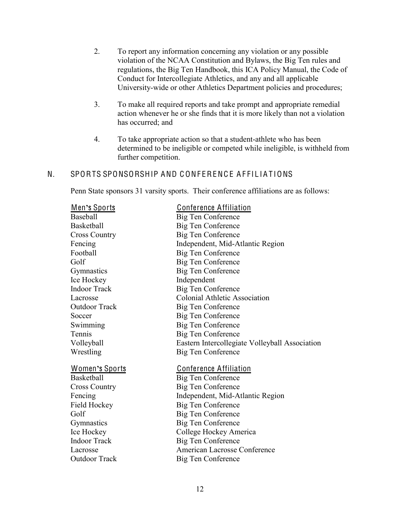- 2. To report any information concerning any violation or any possible violation of the NCAA Constitution and Bylaws, the Big Ten rules and regulations, the Big Ten Handbook, this ICA Policy Manual, the Code of Conduct for Intercollegiate Athletics, and any and all applicable University-wide or other Athletics Department policies and procedures;
- 3. To make all required reports and take prompt and appropriate remedial action whenever he or she finds that it is more likely than not a violation has occurred; and
- 4. To take appropriate action so that a student-athlete who has been determined to be ineligible or competed while ineligible, is withheld from further competition.

## <span id="page-14-0"></span>N. SPORTS SPONSORSHIP AND CONFERENCE AFFILIATIONS

Penn State sponsors 31 varsity sports. Their conference affiliations are as follows:

| <u> Men's Sports</u>  | <b>Conference Affiliation</b>                  |
|-----------------------|------------------------------------------------|
| Baseball              | <b>Big Ten Conference</b>                      |
| Basketball            | <b>Big Ten Conference</b>                      |
| <b>Cross Country</b>  | <b>Big Ten Conference</b>                      |
| Fencing               | Independent, Mid-Atlantic Region               |
| Football              | Big Ten Conference                             |
| Golf                  | <b>Big Ten Conference</b>                      |
| Gymnastics            | <b>Big Ten Conference</b>                      |
| Ice Hockey            | Independent                                    |
| <b>Indoor Track</b>   | <b>Big Ten Conference</b>                      |
| Lacrosse              | <b>Colonial Athletic Association</b>           |
| <b>Outdoor Track</b>  | Big Ten Conference                             |
| Soccer                | <b>Big Ten Conference</b>                      |
| Swimming              | <b>Big Ten Conference</b>                      |
| Tennis                | <b>Big Ten Conference</b>                      |
| Volleyball            | Eastern Intercollegiate Volleyball Association |
| Wrestling             | Big Ten Conference                             |
| <u>Women's Sports</u> | <b>Conference Affiliation</b>                  |
| <b>Basketball</b>     | <b>Big Ten Conference</b>                      |
| <b>Cross Country</b>  | <b>Big Ten Conference</b>                      |
| Fencing               | Independent, Mid-Atlantic Region               |
| Field Hockey          | <b>Big Ten Conference</b>                      |
| Golf                  | Big Ten Conference                             |
| Gymnastics            | <b>Big Ten Conference</b>                      |
| Ice Hockey            | College Hockey America                         |
| <b>Indoor Track</b>   | <b>Big Ten Conference</b>                      |
| Lacrosse              | American Lacrosse Conference                   |
| <b>Outdoor Track</b>  | <b>Big Ten Conference</b>                      |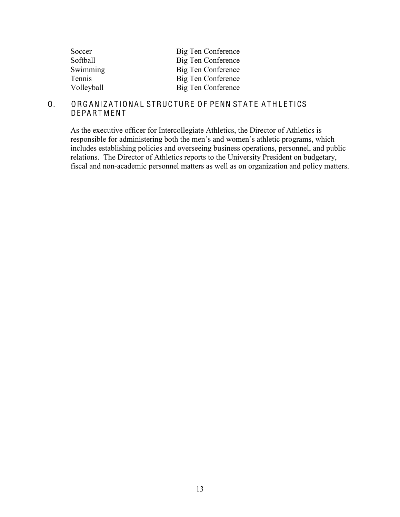| Soccer     | Big Ten Conference |
|------------|--------------------|
| Softball   | Big Ten Conference |
| Swimming   | Big Ten Conference |
| Tennis     | Big Ten Conference |
| Volleyball | Big Ten Conference |

### <span id="page-15-0"></span>O. ORGANIZATIONAL STRUCTURE OF PENN STATE ATHLETICS **DEPARTMENT**

As the executive officer for Intercollegiate Athletics, the Director of Athletics is responsible for administering both the men's and women's athletic programs, which includes establishing policies and overseeing business operations, personnel, and public relations. The Director of Athletics reports to the University President on budgetary, fiscal and non-academic personnel matters as well as on organization and policy matters.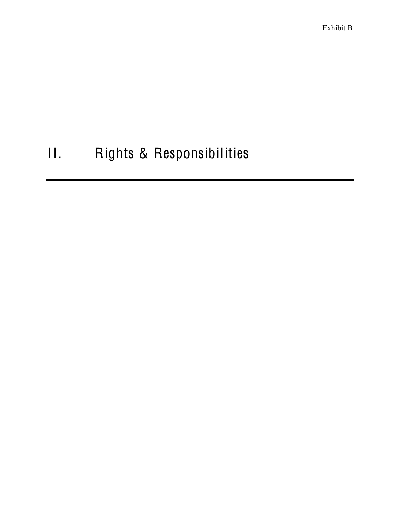Exhibit B

# II. Rights & Responsibilities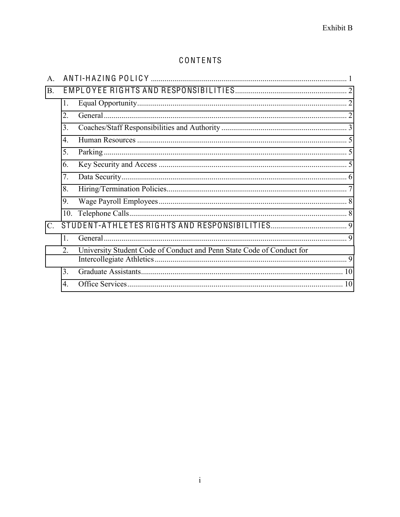# CONTENTS

| $\mathsf{A}$ |                  |                                                                       |  |  |
|--------------|------------------|-----------------------------------------------------------------------|--|--|
| <b>B.</b>    |                  |                                                                       |  |  |
|              | 1.               |                                                                       |  |  |
|              | 2.               |                                                                       |  |  |
|              | 3.               |                                                                       |  |  |
|              | $\overline{4}$ . |                                                                       |  |  |
|              | 5 <sub>1</sub>   |                                                                       |  |  |
|              | 6.               |                                                                       |  |  |
|              | 7 <sub>1</sub>   |                                                                       |  |  |
|              | 8.               |                                                                       |  |  |
|              | 9.               |                                                                       |  |  |
|              | 10 <sub>1</sub>  |                                                                       |  |  |
|              |                  |                                                                       |  |  |
|              | $\mathbf{1}$     |                                                                       |  |  |
|              | $\overline{2}$ . | University Student Code of Conduct and Penn State Code of Conduct for |  |  |
|              | $\mathcal{E}$    |                                                                       |  |  |
|              | 4                |                                                                       |  |  |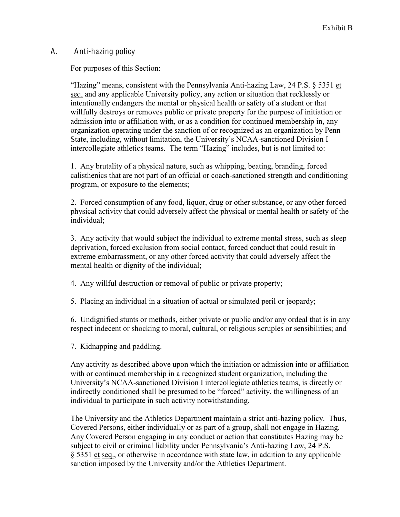## A. Anti-hazing policy

For purposes of this Section:

"Hazing" means, consistent with the Pennsylvania Anti-hazing Law, 24 P.S.  $\S$  5351 et seq. and any applicable University policy, any action or situation that recklessly or intentionally endangers the mental or physical health or safety of a student or that willfully destroys or removes public or private property for the purpose of initiation or admission into or affiliation with, or as a condition for continued membership in, any organization operating under the sanction of or recognized as an organization by Penn State, including, without limitation, the University's NCAA-sanctioned Division I intercollegiate athletics teams. The term "Hazing" includes, but is not limited to:

1. Any brutality of a physical nature, such as whipping, beating, branding, forced calisthenics that are not part of an official or coach-sanctioned strength and conditioning program, or exposure to the elements;

2. Forced consumption of any food, liquor, drug or other substance, or any other forced physical activity that could adversely affect the physical or mental health or safety of the individual;

3. Any activity that would subject the individual to extreme mental stress, such as sleep deprivation, forced exclusion from social contact, forced conduct that could result in extreme embarrassment, or any other forced activity that could adversely affect the mental health or dignity of the individual;

4. Any willful destruction or removal of public or private property;

5. Placing an individual in a situation of actual or simulated peril or jeopardy;

6. Undignified stunts or methods, either private or public and/or any ordeal that is in any respect indecent or shocking to moral, cultural, or religious scruples or sensibilities; and

7. Kidnapping and paddling.

Any activity as described above upon which the initiation or admission into or affiliation with or continued membership in a recognized student organization, including the University's NCAA-sanctioned Division I intercollegiate athletics teams, is directly or indirectly conditioned shall be presumed to be "forced" activity, the willingness of an individual to participate in such activity notwithstanding.

The University and the Athletics Department maintain a strict anti-hazing policy. Thus, Covered Persons, either individually or as part of a group, shall not engage in Hazing. Any Covered Person engaging in any conduct or action that constitutes Hazing may be subject to civil or criminal liability under Pennsylvania's Anti-hazing Law, 24 P.S. § 5351 et seq., or otherwise in accordance with state law, in addition to any applicable sanction imposed by the University and/or the Athletics Department.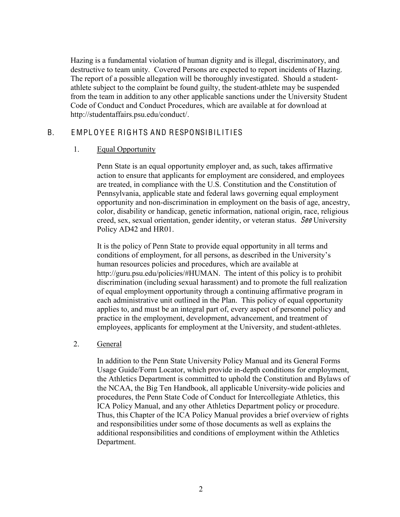Hazing is a fundamental violation of human dignity and is illegal, discriminatory, and destructive to team unity. Covered Persons are expected to report incidents of Hazing. The report of a possible allegation will be thoroughly investigated. Should a studentathlete subject to the complaint be found guilty, the student-athlete may be suspended from the team in addition to any other applicable sanctions under the University Student Code of Conduct and Conduct Procedures, which are available at for download at http://studentaffairs.psu.edu/conduct/.

## <span id="page-19-1"></span><span id="page-19-0"></span>B. EMPLOYEE RIGHTS AND RESPONSIBILITIES

## 1. Equal Opportunity

Penn State is an equal opportunity employer and, as such, takes affirmative action to ensure that applicants for employment are considered, and employees are treated, in compliance with the U.S. Constitution and the Constitution of Pennsylvania, applicable state and federal laws governing equal employment opportunity and non-discrimination in employment on the basis of age, ancestry, color, disability or handicap, genetic information, national origin, race, religious creed, sex, sexual orientation, gender identity, or veteran status. See University Policy AD42 and HR01.

It is the policy of Penn State to provide equal opportunity in all terms and conditions of employment, for all persons, as described in the University's human resources policies and procedures, which are available at http://guru.psu.edu/policies/#HUMAN. The intent of this policy is to prohibit discrimination (including sexual harassment) and to promote the full realization of equal employment opportunity through a continuing affirmative program in each administrative unit outlined in the Plan. This policy of equal opportunity applies to, and must be an integral part of, every aspect of personnel policy and practice in the employment, development, advancement, and treatment of employees, applicants for employment at the University, and student-athletes.

## <span id="page-19-2"></span>2. General

In addition to the Penn State University Policy Manual and its General Forms Usage Guide/Form Locator, which provide in-depth conditions for employment, the Athletics Department is committed to uphold the Constitution and Bylaws of the NCAA, the Big Ten Handbook, all applicable University-wide policies and procedures, the Penn State Code of Conduct for Intercollegiate Athletics, this ICA Policy Manual, and any other Athletics Department policy or procedure. Thus, this Chapter of the ICA Policy Manual provides a brief overview of rights and responsibilities under some of those documents as well as explains the additional responsibilities and conditions of employment within the Athletics Department.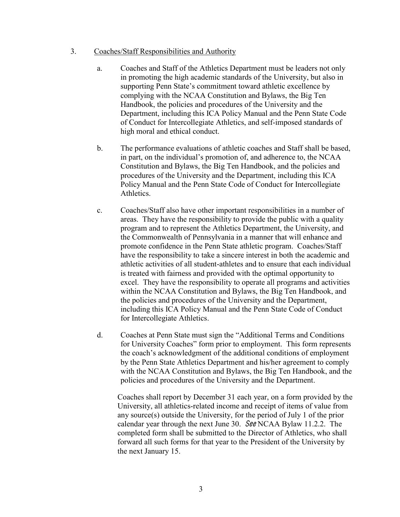### <span id="page-20-0"></span>3. Coaches/Staff Responsibilities and Authority

- a. Coaches and Staff of the Athletics Department must be leaders not only in promoting the high academic standards of the University, but also in supporting Penn State's commitment toward athletic excellence by complying with the NCAA Constitution and Bylaws, the Big Ten Handbook, the policies and procedures of the University and the Department, including this ICA Policy Manual and the Penn State Code of Conduct for Intercollegiate Athletics, and self-imposed standards of high moral and ethical conduct.
- b. The performance evaluations of athletic coaches and Staff shall be based, in part, on the individual's promotion of, and adherence to, the NCAA Constitution and Bylaws, the Big Ten Handbook, and the policies and procedures of the University and the Department, including this ICA Policy Manual and the Penn State Code of Conduct for Intercollegiate **Athletics**
- c. Coaches/Staff also have other important responsibilities in a number of areas. They have the responsibility to provide the public with a quality program and to represent the Athletics Department, the University, and the Commonwealth of Pennsylvania in a manner that will enhance and promote confidence in the Penn State athletic program. Coaches/Staff have the responsibility to take a sincere interest in both the academic and athletic activities of all student-athletes and to ensure that each individual is treated with fairness and provided with the optimal opportunity to excel. They have the responsibility to operate all programs and activities within the NCAA Constitution and Bylaws, the Big Ten Handbook, and the policies and procedures of the University and the Department, including this ICA Policy Manual and the Penn State Code of Conduct for Intercollegiate Athletics.
- d. Coaches at Penn State must sign the "Additional Terms and Conditions" for University Coaches" form prior to employment. This form represents the coach's acknowledgment of the additional conditions of employment by the Penn State Athletics Department and his/her agreement to comply with the NCAA Constitution and Bylaws, the Big Ten Handbook, and the policies and procedures of the University and the Department.

Coaches shall report by December 31 each year, on a form provided by the University, all athletics-related income and receipt of items of value from any source(s) outside the University, for the period of July 1 of the prior calendar year through the next June 30. See NCAA Bylaw 11.2.2. The completed form shall be submitted to the Director of Athletics, who shall forward all such forms for that year to the President of the University by the next January 15.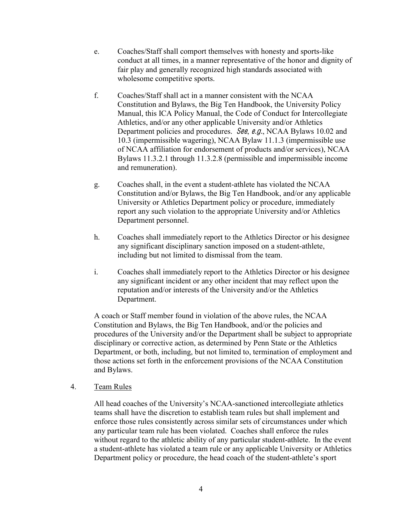- e. Coaches/Staff shall comport themselves with honesty and sports-like conduct at all times, in a manner representative of the honor and dignity of fair play and generally recognized high standards associated with wholesome competitive sports.
- f. Coaches/Staff shall act in a manner consistent with the NCAA Constitution and Bylaws, the Big Ten Handbook, the University Policy Manual, this ICA Policy Manual, the Code of Conduct for Intercollegiate Athletics, and/or any other applicable University and/or Athletics Department policies and procedures. See, e.g., NCAA Bylaws 10.02 and 10.3 (impermissible wagering), NCAA Bylaw 11.1.3 (impermissible use of NCAA affiliation for endorsement of products and/or services), NCAA Bylaws 11.3.2.1 through 11.3.2.8 (permissible and impermissible income and remuneration).
- g. Coaches shall, in the event a student-athlete has violated the NCAA Constitution and/or Bylaws, the Big Ten Handbook, and/or any applicable University or Athletics Department policy or procedure, immediately report any such violation to the appropriate University and/or Athletics Department personnel.
- h. Coaches shall immediately report to the Athletics Director or his designee any significant disciplinary sanction imposed on a student-athlete, including but not limited to dismissal from the team.
- i. Coaches shall immediately report to the Athletics Director or his designee any significant incident or any other incident that may reflect upon the reputation and/or interests of the University and/or the Athletics Department.

A coach or Staff member found in violation of the above rules, the NCAA Constitution and Bylaws, the Big Ten Handbook, and/or the policies and procedures of the University and/or the Department shall be subject to appropriate disciplinary or corrective action, as determined by Penn State or the Athletics Department, or both, including, but not limited to, termination of employment and those actions set forth in the enforcement provisions of the NCAA Constitution and Bylaws.

### 4. Team Rules

All head coaches of the University's NCAA-sanctioned intercollegiate athletics teams shall have the discretion to establish team rules but shall implement and enforce those rules consistently across similar sets of circumstances under which any particular team rule has been violated. Coaches shall enforce the rules without regard to the athletic ability of any particular student-athlete. In the event a student-athlete has violated a team rule or any applicable University or Athletics Department policy or procedure, the head coach of the student-athlete's sport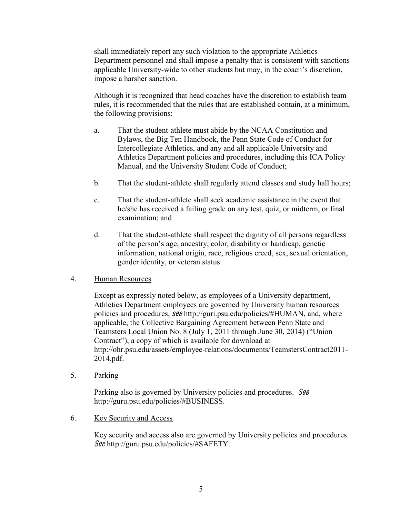shall immediately report any such violation to the appropriate Athletics Department personnel and shall impose a penalty that is consistent with sanctions applicable University-wide to other students but may, in the coach's discretion, impose a harsher sanction.

Although it is recognized that head coaches have the discretion to establish team rules, it is recommended that the rules that are established contain, at a minimum, the following provisions:

- a. That the student-athlete must abide by the NCAA Constitution and Bylaws, the Big Ten Handbook, the Penn State Code of Conduct for Intercollegiate Athletics, and any and all applicable University and Athletics Department policies and procedures, including this ICA Policy Manual, and the University Student Code of Conduct;
- b. That the student-athlete shall regularly attend classes and study hall hours;
- c. That the student-athlete shall seek academic assistance in the event that he/she has received a failing grade on any test, quiz, or midterm, or final examination; and
- d. That the student-athlete shall respect the dignity of all persons regardless of the person's age, ancestry, color, disability or handicap, genetic information, national origin, race, religious creed, sex, sexual orientation, gender identity, or veteran status.

## <span id="page-22-0"></span>4. Human Resources

Except as expressly noted below, as employees of a University department, Athletics Department employees are governed by University human resources policies and procedures, <sup>s</sup>ee http://guri.psu.edu/policies/#HUMAN, and, where applicable, the Collective Bargaining Agreement between Penn State and Teamsters Local Union No. 8 (July 1, 2011 through June 30, 2014) ("Union" Contract"), a copy of which is available for download at http://ohr.psu.edu/assets/employee-relations/documents/TeamstersContract2011- 2014.pdf.

<span id="page-22-1"></span>5. Parking

Parking also is governed by University policies and procedures. See http://guru.psu.edu/policies/#BUSINESS.

<span id="page-22-2"></span>6. Key Security and Access

Key security and access also are governed by University policies and procedures. See http://guru.psu.edu/policies/#SAFETY.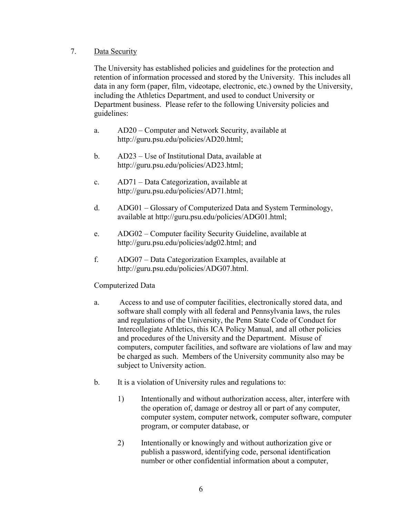### <span id="page-23-0"></span>7. Data Security

The University has established policies and guidelines for the protection and retention of information processed and stored by the University. This includes all data in any form (paper, film, videotape, electronic, etc.) owned by the University, including the Athletics Department, and used to conduct University or Department business. Please refer to the following University policies and guidelines:

- a. AD20 Computer and Network Security, available at http://guru.psu.edu/policies/AD20.html;
- b.  $AD23 Use$  of Institutional Data, available at http://guru.psu.edu/policies/AD23.html;
- c.  $AD71 Data Categorization, available at$ http://guru.psu.edu/policies/AD71.html;
- d. ADG01 Glossary of Computerized Data and System Terminology, available at http://guru.psu.edu/policies/ADG01.html;
- e. ADG02 Computer facility Security Guideline, available at http://guru.psu.edu/policies/adg02.html; and
- f. ADG07 Data Categorization Examples, available at http://guru.psu.edu/policies/ADG07.html.

## Computerized Data

- a. Access to and use of computer facilities, electronically stored data, and software shall comply with all federal and Pennsylvania laws, the rules and regulations of the University, the Penn State Code of Conduct for Intercollegiate Athletics, this ICA Policy Manual, and all other policies and procedures of the University and the Department. Misuse of computers, computer facilities, and software are violations of law and may be charged as such. Members of the University community also may be subject to University action.
- b. It is a violation of University rules and regulations to:
	- 1) Intentionally and without authorization access, alter, interfere with the operation of, damage or destroy all or part of any computer, computer system, computer network, computer software, computer program, or computer database, or
	- 2) Intentionally or knowingly and without authorization give or publish a password, identifying code, personal identification number or other confidential information about a computer,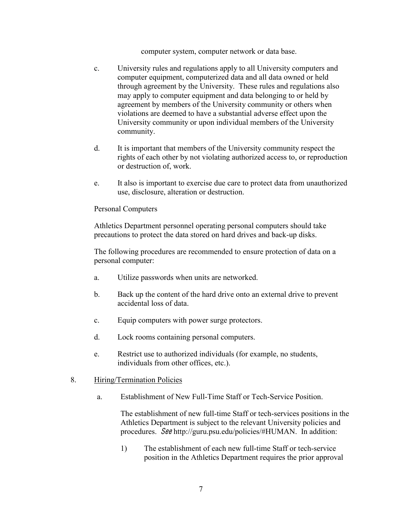computer system, computer network or data base.

- c. University rules and regulations apply to all University computers and computer equipment, computerized data and all data owned or held through agreement by the University. These rules and regulations also may apply to computer equipment and data belonging to or held by agreement by members of the University community or others when violations are deemed to have a substantial adverse effect upon the University community or upon individual members of the University community.
- d. It is important that members of the University community respect the rights of each other by not violating authorized access to, or reproduction or destruction of, work.
- e. It also is important to exercise due care to protect data from unauthorized use, disclosure, alteration or destruction.

### Personal Computers

Athletics Department personnel operating personal computers should take precautions to protect the data stored on hard drives and back-up disks.

The following procedures are recommended to ensure protection of data on a personal computer:

- a. Utilize passwords when units are networked.
- b. Back up the content of the hard drive onto an external drive to prevent accidental loss of data.
- c. Equip computers with power surge protectors.
- d. Lock rooms containing personal computers.
- e. Restrict use to authorized individuals (for example, no students, individuals from other offices, etc.).

### <span id="page-24-0"></span>8. Hiring/Termination Policies

a. Establishment of New Full-Time Staff or Tech-Service Position.

The establishment of new full-time Staff or tech-services positions in the Athletics Department is subject to the relevant University policies and procedures. See http://guru.psu.edu/policies/#HUMAN. In addition:

1) The establishment of each new full-time Staff or tech-service position in the Athletics Department requires the prior approval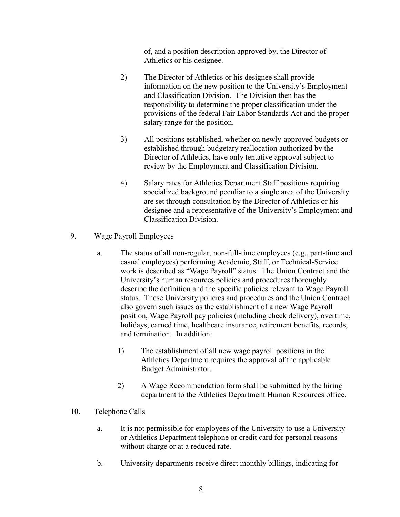of, and a position description approved by, the Director of Athletics or his designee.

- 2) The Director of Athletics or his designee shall provide information on the new position to the University's Employment and Classification Division. The Division then has the responsibility to determine the proper classification under the provisions of the federal Fair Labor Standards Act and the proper salary range for the position.
- 3) All positions established, whether on newly-approved budgets or established through budgetary reallocation authorized by the Director of Athletics, have only tentative approval subject to review by the Employment and Classification Division.
- 4) Salary rates for Athletics Department Staff positions requiring specialized background peculiar to a single area of the University are set through consultation by the Director of Athletics or his designee and a representative of the University's Employment and Classification Division.

## <span id="page-25-0"></span>9. Wage Payroll Employees

- a. The status of all non-regular, non-full-time employees (e.g., part-time and casual employees) performing Academic, Staff, or Technical-Service work is described as "Wage Payroll" status. The Union Contract and the University's human resources policies and procedures thoroughly describe the definition and the specific policies relevant to Wage Payroll status. These University policies and procedures and the Union Contract also govern such issues as the establishment of a new Wage Payroll position, Wage Payroll pay policies (including check delivery), overtime, holidays, earned time, healthcare insurance, retirement benefits, records, and termination. In addition:
	- 1) The establishment of all new wage payroll positions in the Athletics Department requires the approval of the applicable Budget Administrator.
	- 2) A Wage Recommendation form shall be submitted by the hiring department to the Athletics Department Human Resources office.

## <span id="page-25-1"></span>10. Telephone Calls

- a. It is not permissible for employees of the University to use a University or Athletics Department telephone or credit card for personal reasons without charge or at a reduced rate.
- b. University departments receive direct monthly billings, indicating for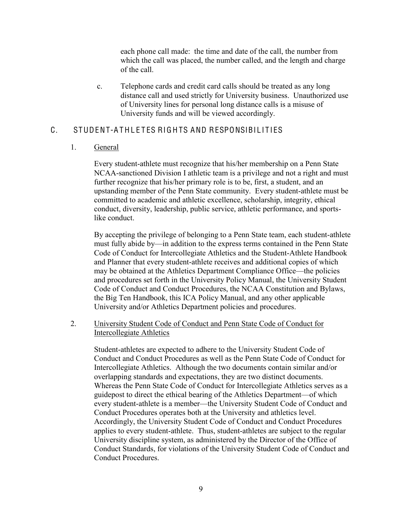each phone call made: the time and date of the call, the number from which the call was placed, the number called, and the length and charge of the call.

c. Telephone cards and credit card calls should be treated as any long distance call and used strictly for University business. Unauthorized use of University lines for personal long distance calls is a misuse of University funds and will be viewed accordingly.

## <span id="page-26-1"></span><span id="page-26-0"></span>C. STUDENT-A THLE TES RIGHTS AND RESPONSIBILITIES

### 1. General

Every student-athlete must recognize that his/her membership on a Penn State NCAA-sanctioned Division I athletic team is a privilege and not a right and must further recognize that his/her primary role is to be, first, a student, and an upstanding member of the Penn State community. Every student-athlete must be committed to academic and athletic excellence, scholarship, integrity, ethical conduct, diversity, leadership, public service, athletic performance, and sportslike conduct.

By accepting the privilege of belonging to a Penn State team, each student-athlete must fully abide by—in addition to the express terms contained in the Penn State Code of Conduct for Intercollegiate Athletics and the Student-Athlete Handbook and Planner that every student-athlete receives and additional copies of which may be obtained at the Athletics Department Compliance Office—the policies and procedures set forth in the University Policy Manual, the University Student Code of Conduct and Conduct Procedures, the NCAA Constitution and Bylaws, the Big Ten Handbook, this ICA Policy Manual, and any other applicable University and/or Athletics Department policies and procedures.

<span id="page-26-2"></span>2. University Student Code of Conduct and Penn State Code of Conduct for Intercollegiate Athletics

Student-athletes are expected to adhere to the University Student Code of Conduct and Conduct Procedures as well as the Penn State Code of Conduct for Intercollegiate Athletics. Although the two documents contain similar and/or overlapping standards and expectations, they are two distinct documents. Whereas the Penn State Code of Conduct for Intercollegiate Athletics serves as a guidepost to direct the ethical bearing of the Athletics Department—of which every student-athlete is a member—the University Student Code of Conduct and Conduct Procedures operates both at the University and athletics level. Accordingly, the University Student Code of Conduct and Conduct Procedures applies to every student-athlete. Thus, student-athletes are subject to the regular University discipline system, as administered by the Director of the Office of Conduct Standards, for violations of the University Student Code of Conduct and Conduct Procedures.